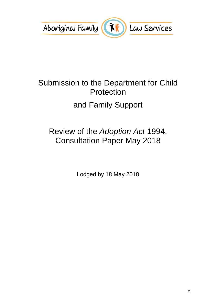

# Submission to the Department for Child Protection and Family Support

# Review of the *Adoption Act* 1994, Consultation Paper May 2018

Lodged by 18 May 2018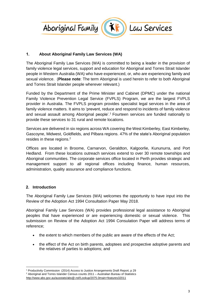

### **1. About Aboriginal Family Law Services (WA)**

The Aboriginal Family Law Services (WA) is committed to being a leader in the provision of family violence legal services, support and education for Aboriginal and Torres Strait Islander people in Western Australia (WA) who have experienced, or, who are experiencing family and sexual violence. (**Please note**: The term Aboriginal is used herein to refer to both Aboriginal and Torres Strait Islander people wherever relevant.)

Funded by the Department of the Prime Minister and Cabinet (DPMC) under the national Family Violence Prevention Legal Service (FVPLS) Program, we are the largest FVPLS provider in Australia. The FVPLS program provides specialist legal services in the area of family violence matters. It aims to 'prevent, reduce and respond to incidents of family violence and sexual assault among Aboriginal people'.<sup>1</sup> Fourteen services are funded nationally to provide these services to 31 rural and remote locations.

Services are delivered in six regions across WA covering the West Kimberley, East Kimberley, Gascoyne, Midwest, Goldfields, and Pilbara regions. 47% of the state's Aboriginal population resides in these regions.<sup>2</sup>

Offices are located in Broome, Carnarvon, Geraldton, Kalgoorlie, Kununurra, and Port Hedland. From these locations outreach services extend to over 30 remote townships and Aboriginal communities. The corporate services office located in Perth provides strategic and management support to all regional offices including finance, human resources, administration, quality assurance and compliance functions.

#### **2. Introduction**

The Aboriginal Family Law Services (WA) welcomes the opportunity to have input into the Review of the Adoption Act 1994 Consultation Paper May 2018.

Aboriginal Family Law Services (WA) provides professional legal assistance to Aboriginal peoples that have experienced or are experiencing domestic or sexual violence. This submission on Review of the Adoption Act 1994 Consulation Paper will address terms of reference;

- the extent to which members of the public are aware of the effects of the Act;
- the effect of the Act on birth parents, adoptees and prospective adoptive parents and the relatives of parties to adoptions; and

 $\overline{a}$ <sup>1</sup> Productivity Commission (2014) Access to Justice Arrangements Draft Report, p 29 <sup>2</sup> Aboriginal and Torres Islander Census counts 2011 – Australian Bureau of Statistics <http://www.abs.gov.au/ausstats/abs@.nsf/Lookup/2075.0main+features32011>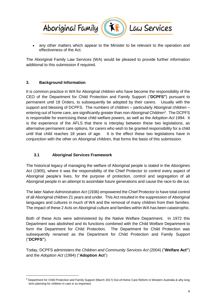

 any other matters which appear to the Minister to be relevant to the operation and effectiveness of the Act.

The Aboriginal Family Law Services (WA) would be pleased to provide further information additional to this submission if required.

#### **3. Background Information**

 $\overline{a}$ 

It is common practice in WA for Aboriginal children who have become the responsibility of the CEO of the Department for Child Protection and Family Support ("**DCPFS"**) pursuant to permanent until 18 Orders, to subsequently be adopted by their carers. Usually with the support and blessing of DCPFS. The numbers of children – particularly Aboriginal children – entering out of home care, are significantly greater than non-Aboriginal Children<sup>3</sup>. The DCPFS is responsible for exericising these child welfare powers, as well as the *Adoption Act* 1994. It is the experience of the AFLS that there is interplay between these two legislations, as alternative permanent care options, for carers who wish to be granted responsibility for a child until that child reaches 18 years of age. It is the effect these two legislations have in conjunction with the other on Aboriginal children, that forms the basis of this submission.

# **3.1 Aboriginal Services Framework**

The historical legacy of managing the welfare of Aboriginal people is stated in the *Aborigines Act* (1905), where it was the responsibility of the Chief Protector to control every aspect of Aboriginal people's lives, for the purpose of protection, control and segregation of all Aboriginal people in an attempt to assimilate future generations and cause the race to die out.

The later *Native Administration Act* (1936) empowered the Chief Protector to have total control of all Aboriginal children 21 years and under. This Act resulted in the suppression of Aboriginal languages and cultures in much of WA and the removal of many children from their families. The impact of these 2 Acts on Aboriginal culture and families within WA has been catastrophic.

Both of these Acts were administered by the Native Welfare Department. In 1972 this Department was abolished and its functions combined with the Child Welfare Department to form the Department for Child Protection. The Department for Child Protection was subsequently renamed as the Department for Child Protection and Family Support ("**DCPFS"**).

Today, DCPFS administers the *Children and Community Services Act* (2004) ("**Welfare Act"**) and the *Adoption Act* (1994) ("**Adoption Act**")

<sup>&</sup>lt;sup>3</sup> Department for Child Protection and Family Support (March 2017) Out-of-Home Care Reform in Western Australia & why long term planning for children in care is so important.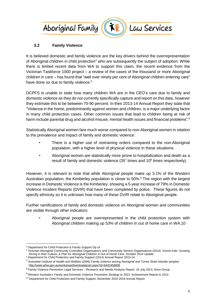



Law Services

# **3.2 Family Violence**

It is believed domestic and family violence are the key drivers behind the overrepresentation of Aboriginal children in child protection<sup>4</sup> who are subsequently the subject of adoption. While there is limited recent data from WA to support this claim, the recent evidence from the Victorian Taskforce 1000 project – a review of the cases of the thousand or more Aboriginal children in care – has found that "well over ninety per cent of Aboriginal children entering care" have done so due to family violence.<sup>5</sup>

DCPFS is unable to state how many children WA are in the CEO's care due to family and domestic violence as they do not currently specifically capture and report on this data, however they estimate this to be between 70-90 percent. In their 2013-14 Annual Report they state that "Violence in the home, predominantly against women and children, is a major underlying factor in many child protection cases. Other common issues that lead to children being at risk of harm include parental drug and alcohol misuse, mental health issues and financial problems".<sup>6</sup>

Statistically Aboriginal women fare much worse compared to non-Aboriginal women in relation to the prevalence and impact of family and domestic violence:

- There is a higher use of restraining orders compared to the non-Aboriginal population, with a higher level of physical violence in these situations.
- Aboriginal women are statistically more prone to hospitalization and death as a result of family and domestic violence  $(35<sup>7</sup>$  times and 10<sup>8</sup> times respectively).

However, it is relevant to note that while Aboriginal people make up 3.1% of the Western Australian population, the Kimberley population is closer to 50%.<sup>9</sup> The region with the largest increase in Domestic Violence is the Kimberley, showing a 5-year increase of 79% in Domestic Violence Incident Reports (DVIR) that have been completed by police. These figures do not specify ethnicity so it is unknown how many of these DVIR relate to Aboriginal people.

Further ramifications of family and domestic violence on Aboriginal women and communities are visible through other indicators:

• Aboriginal people are overrepresented in the child protection system with Aboriginal children making up 53% of children in out of home care in WA.10

 $\overline{a}$ <sup>4</sup> Department for Child Protection & Family Support Op cit

<sup>&</sup>lt;sup>5</sup> Victorian Aboriginal Community Controlled Organisations and Community Service Organisations (2014) Koorie Kids: Growing Strong in their Culture, A Plan for Aboriginal Children in Out of Home Care, October 2014 Update

<sup>6</sup> Department for Child Protection and Family Support (2014) Annual Report 2013-14

<sup>7</sup> Australian Institute of Health and Welfare (2006) Family violence among Aboriginal and Torres Strait Islander peoples <http://www.aihw.gov.au/workarea/downloadasset.aspx?id=6442458606>

<sup>8</sup> Family Violence Prevention Legal Services – Research and Needs Analysis Report, 16 July 2013, Nous Group

<sup>9</sup> Western Australia's Family and Domestic Violence Prevention Strategy to 2022: Achievement Report to 2013

<sup>&</sup>lt;sup>10</sup> Department for Child Protection and Family Support, November 2015-2016 Annual Report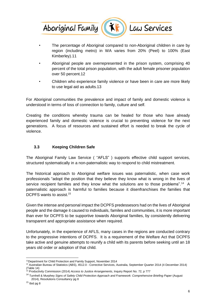

The percentage of Aboriginal compared to non-Aboriginal children in care by region (including metro) in WA varies from 20% (Peel) to 100% (East Kimberley).11

Law Services

- Aboriginal people are overrepresented in the prison system, comprising 40 percent of the total prison population, with the adult female prisoner population over 50 percent.12
- Children who experience family violence or have been in care are more likely to use legal aid as adults.13

For Aboriginal communities the prevalence and impact of family and domestic violence is understood in terms of loss of connection to family, culture and self.

Creating the conditions whereby trauma can be healed for those who have already experienced family and domestic violence is crucial to preventing violence for the next generations. A focus of resources and sustained effort is needed to break the cycle of violence.

#### **3.3 Keeping Children Safe**

The Aboriginal Family Law Service ( "AFLS" ) supports effective child support services, structured systematically in a non-paternalistic way to respond to child mistreatment.

The historical approach to Aboriginal welfare issues was paternalistic, when case work professionals "adopt the position that they believe they know what is wrong in the lives of service recipient families and they know what the solutions are to those problems".<sup>14</sup> A paternalistic approach is harmful to families because it disenfranchises the families that DCPFS wants to assist.<sup>15</sup>

Given the intense and personal impact the DCPFS predessesors had on the lives of Aboriginal people and the damage it caused to individuals, familes and communities, it is more important than ever for DCPFS to be supportive towards Aboriginal families, by consistently delivering transparent and appropriate assistance when required.

Unfortunately, in the experience of AFLS, many cases in the regions are conducted contrary to the progressive intentions of DCPFS. It is a requirement of the Welfare Act that DCPFS take active and genuine attempts to reunify a child with its parents before seeking until an 18 years old order or adoption of that child.

 $\overline{a}$ <sup>11</sup>Department for Child Protection and Family Support, November 2014

<sup>12</sup> Australian Bureau of Statistics (ABS), 4512.0 - Corrective Services, Australia, September Quarter 2014 (4 December 2014) (Table 14)

<sup>13</sup> Productivity Commission (2014) *Access to Justice Arrangements*, Inquiry Report No. 72, p 777

<sup>14</sup> Turnhell & Murphey *Signs of Safety Child Protection Approach and Framework: Comprehensive Briefing Paper* (August 2014), Resolutions Consultancy pg 8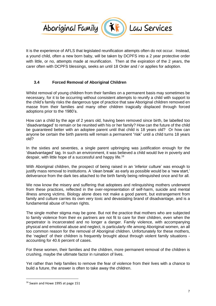

It is the experience of AFLS that legislated reunification attempts often do not occur. Instead, a yound child, often a new born baby, will be taken by DCPFS into a 2 year protective order with little, or no, attempts made at reunification. Then at the expiration of the 2 years, the carer often with DCPFS blessings, seeks an until 18 Order and / or applies for adoption.

# **3.4 Forced Removal of Aboriginal Children**

Whilst removal of young children from their families on a permanent basis may sometimes be necessary, for it to be occurring without consistent attempts to reunify a child with support to the child's family risks the dangerous type of practice that saw Aboriginal children removed en masse from their families and many other children tragically displaced through forced adoptions prior to the 1980's.

How can a child by the age of 2 years old, having been removed since birth, be labelled too 'disadvantaged' to remain or be reunited with his or her family? How can the future of the child be guaranteed better with an adoptee parent until that child is 18 years old? Or how can anyone be certain the birth parents will remain a permanent "risk" until a child turns 18 years old?

In the sixties and seventies, a single parent upbringing was justification enough for the 'disadvantaged' tag. In such an environment, it was believed a child would live in poverty and despair, with little hope of a successful and happy life.<sup>16</sup>

With Aboriginal children, the prospect of being raised in an 'inferior culture' was enough to justify mass removal to institutions. A 'clean break' as early as possible would be a 'new start,' deliverance from the dark ties attached to the birth family being relinquished once and for all.

We now know the misery and suffering that adoptees and relinquishing mothers underwent from these practices, reflected in the over-representation of self-harm, suicide and mental illness among victims. Biology alone does not make a good parent, but estrangement from family and culture carries its own very toxic and devastating brand of disadvantage, and is a fundamental abuse of human rights.

The single mother stigma may be gone. But not the practice that mothers who are subjected to family violence from their ex partners are not fit to care for their children, even when the perpetrator is incarcerated and no longer a danger. Family violence, with accompanying physical and emotional abuse and neglect, is particularly rife among Aboriginal women, an all too common reason for the removal of Aboriginal children. Unfortunately for these mothers, the 'neglect' of their children is frequently brought about through violent family situations accounting for 40.6 percent of cases.

For these women, their families and the children, more permanent removal of the children is crushing, maybe the ultimate factor in ruination of lives.

Yet rather than help families to remove the fear of violence from their lives with a chance to build a future, the answer is often to take away the children.

<sup>&</sup>lt;sup>16</sup> Swain and Howe 1995 at page 151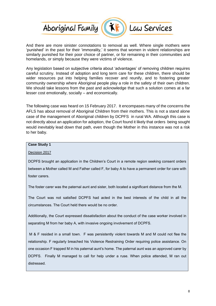

And there are more sinister connotations to removal as well. Where single mothers were 'punished' in the past for their 'immorality,' it seems that women in violent relationships are similarly punished for their poor choice of partner, or for remaining in their communities and homelands, or simply because they were victims of violence.

Any legislation based on subjective criteria about 'advantages' of removing children requires careful scrutiny. Instead of adoption and long term care for these children, there should be wider resources put into helping families recover and reunify, and to fostering greater community ownership where Aboriginal people play a role in the safety of their own children. We should take lessons from the past and acknowledge that such a solution comes at a far lesser cost emotionally, socially – and economically.

The following case was heard on 15 February 2017. It encompases many of the concerns the AFLS has about removal of Aboriginal Children from their mothers. This is not a stand alone case of the management of Aboriginal children by DCPFS in rural WA. Although this case is not directly about an application for adoption, the Court found it likely that orders being sought would inevitably lead down that path, even though the Mother in this instance was not a risk to her baby.

#### **Case Study 1**

Decision 2017

DCPFS brought an application in the Children's Court in a remote region seeking consent orders between a Mother called M and Father called F, for baby A to have a permanent order for care with foster carers.

The foster carer was the paternal aunt and sister, both located a significant distance from the M.

The Court was not satisfied DCPFS had acted in the best interests of the child in all the circumstances. The Court held there would be no order.

Additionally, the Court expressed dissatisfaction about the conduct of the case worker involved in separating M from her baby A, with invasive ongoing involvement of DCPFS.

M & F resided in a small town. F was persistently violent towards M and M could not flee the relationship. F regularly breached his Violence Restraining Order requiring police assistance. On one occasion F trapped M in his paternal aunt's home. The paternal aunt was an approved carer by DCPFS. Finally M managed to call for help under a ruse. When police attended, M ran out distressed.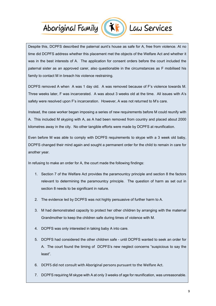# Aboriginal Family (KF) Law Services



Despite this, DCPFS described the paternal aunt's house as safe for A, free from violence. At no time did DCPFS address whether this placement met the objects of the Welfare Act and whether it was in the best interests of A. The application for consent orders before the court included the paternal sister as an approved carer, also questionable in the circumstances as F mobilised his family to contact M in breach his violence restraining.

DCPFS removed A when A was 1 day old. A was removed because of F's violence towards M. Three weeks later, F was incarcerated. A was about 3 weeks old at the time. All issues with A's safety were resolved upon F's incarceration. However, A was not returned to M's care.

Instead, the case worker began imposing a series of new requirements before M could reunify with A. This included M skyping with A, as A had been removed from country and placed about 2000 kilometres away in the city. No other tangible efforts were made by DCPFS at reunification.

Even before M was able to comply with DCPFS requirements to skype with a 3 week old baby, DCPFS changed their mind again and sought a permanent order for the child to remain in care for another year.

In refusing to make an order for A, the court made the following findings:

- 1. Section 7 of the Welfare Act provides the paramountcy principle and section 8 the factors relevant to determining the paramountcy principle. The question of harm as set out in section 8 needs to be significant in nature.
- 2. The evidence led by DCPFS was not highly persuasive of further harm to A.
- 3. M had demonstrated capacity to protect her other children by arranging with the maternal Grandmother to keep the children safe during times of violence with M.
- 4. DCPFS was only interested in taking baby A into care.
- 5. DCPFS had considered the other children safe until DCPFS wanted to seek an order for A. The court found the timing of DCPFS's new neglect concerns "suspicious to say the least".
- 6. DCPFS did not consult with Aboriginal persons pursuant to the Welfare Act.
- 7. DCPFS requiring M skype with A at only 3 weeks of age for reunification, was unreasonable.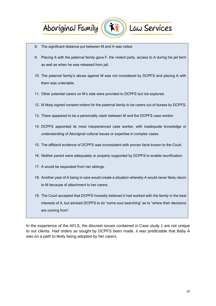# Aboriginal Family (XF)



Law Services

- 8. The significant distance put between M and A was noted.
- 9. Placing A with the paternal family gave F, the violent party, access to A during his jail term as well as when he was released from jail.
- 10. The paternal family's abuse against M was not considered by DCPFS and placing A with them was untenable.
- 11. Other potential carers on M's side were provided to DCPFS but not explored.
- 12. M likely signed consent orders for the paternal family to be carers out of duress by DCPFS.
- 13. There appeared to be a personality clash between M and the DCPFS case worker.
- 14. DCPFS appointed its most inexperienced case worker, with inadequate knowledge or understanding of Aboriginal cultural issues or expertise in complex cases.
- 15. The affidavit evidence of DCPFS was inconsistent with proven facts known to the Court.
- 16. Neither parent were adequately or properly supported by DCPFS to enable reunification.
- 17. A would be separated from her siblings.
- 18. Another year of A being in care would create a situation whereby A would never likely return to M because of attachment to her carers.
- 19. The Court accepted that DCPFS honestly believed it had worked with the family in the best interests of A, but advised DCPFS to do "some soul searching" as to "where their decisions are coming from".

In the experience of the AFLS, the discreet issues contained in Case study 1 are not unique to our clients. Had orders as sought by DCPFS been made, it was predictable that Baby A was on a path to likely being adopted by her carers.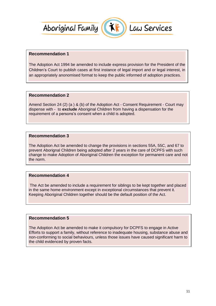



#### **Recommendation 1**

The Adoption Act 1994 be amended to include express provision for the President of the Children's Court to publish cases at first instance of legal import and or legal interest, in an appropriately anonomised format to keep the public informed of adoption practices.

#### **Recommendation 2**

Amend Section 24 (2) (a ) & (b) of the Adoption Act - Consent Requirement - Court may dispense with - to **exclude** Aboriginal Children from having a dispensation for the requirement of a persons's consent when a child is adopted.

#### **Recommendation 3**

The Adoption Act be amended to change the provisions in sections 55A, 55C, and 67 to prevent Aborignal Children being adopted after 2 years in the care of DCPFS with such change to make Adoption of Aboriginal Children the exception for permanent care and not the norm.

#### **Recommendation 4**

The Act be amended to include a requirement for siblings to be kept together and placed in the same home environment except in exceptional circumstances that prevent it. Keeping Aboriginal Children together should be the default position of the Act.

#### **Recommendation 5**

The Adoption Act be amended to make it compulsory for DCPFS to engage in Active Efforts to support a family, without reference to inadequate housing, substance abuse and non-conforming to social behaviours, unless those issues have caused significant harm to the child evidenced by proven facts.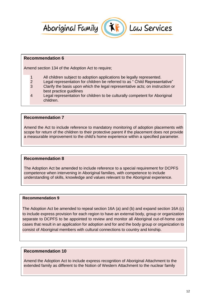



#### **Recommendation 6**

Amend section 134 of the Adoption Act to require;

- 1 All children subject to adoption applications be legally represented.<br>2 Legal representation for children be referred to as "Child Represen
- 2 Legal representation for children be referred to as " Child Representative"<br>3 Clarify the basis upon which the legal representative acts: on instruction of
- Clarify the basis upon which the legal representative acts; on instruction or best practice guidlines
- 4 Legal representation for children to be culturally competent for Aboriginal children.

#### **Recommendation 7**

Amend the Act to include reference to mandatory monitoring of adoption placements with scope for return of the children to their protective parent if the placement does not provide a measurable improvement to the child's home experience within a specified parameter.

#### **Recommendation 8**

The Adoption Act be amended to include reference to a special requirement for DCPFS competence when intervening in Aboriginal families, with competence to include understanding of skills, knowledge and values relevant to the Aboriginal experience.

#### **Recommendation 9**

The Adoption Act be amended to repeal section 16A (a) and (b) and expand section 16A (c) to include express provision for each region to have an external body, group or organization separate to DCPFS to be appointed to review and monitor all Aboriginal out-of-home care cases that result in an application for adoption and for and the body group or organization to consist of Aboriginal members with cultural connections to country and kinship.

#### **Recommendation 10**

Amend the Adoption Act to include express recognition of Aboriginal Attachment to the extended family as different to the Notion of Western Attachment to the nuclear family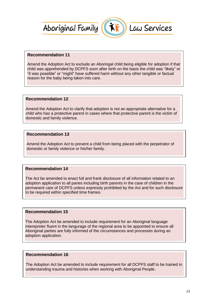



# **Recommendation 11**

Amend the Adoption Act to exclude an Aboringal child being eligible for adoption if that child was apprehended by DCPFS soon after birth on the basis the child was "likely" or "it was possible" or "might" have suffered harm without any other tangible or factual reason for the baby being taken into care.

#### **Recommendation 12**

Amend the Adoption Act to clarify that adoption is not an appropriate alternative for a child who has a protective parent in cases where that protective parent is the victim of domestic and family violence.

#### **Recommendation 13**

Amend the Adoption Act to prevent a child from being placed with the perpetrator of domestic or family violence or his/her family.

#### **Recommendation 14**

The Act be amended to enact full and frank disclosure of all information related to an adoption application to all paries including birth parents in the case of children in the permanent care of DCPFS unless expressly prohibited by the Act and for such disclosure to be required within specified time frames.

#### **Recommendation 15**

The Adoption Act be amended to include requirement for an Aboriginal language interepreter fluent in the langurage of the regional area to be appointed to ensure all Aboriginal parties are fully informed of the circumstances and processes during an adoption application.

#### **Recommendation 16**

The Adoption Act be amended to include requirement for all DCPFS staff to be trained in understanding trauma and histories when working with Aboriginal People.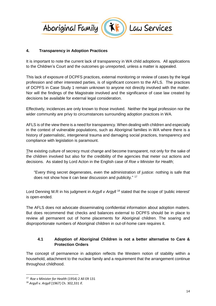

# **4. Transparency in Adoption Practices**

It is important to note the current lack of transparency in WA child adoptions. All applications to the Children's Court and the outcomes go unreported, unless a matter is appealed.

This lack of exposure of DCPFS practices, external monitoring or review of cases by the legal profession and other interested parties, is of significant concern to the AFLS. The practices of DCPFS in Case Study 1 remain unknown to anyone not directly involved with the matter. Nor will the findings of the Magistrate involved and the significance of case law created by decisions be available for external legal consideration.

Effectively, incidences are only known to those involved. Neither the legal profession nor the wider community are privy to circumstances surrounding adoption practices in WA.

AFLS is of the view there is a need for transparency. When dealing with children and especially in the context of vulnerable populations, such as Aboriginal families in WA where there is a history of paternalistic, intergeneral trauma and damaging social practices, transparency and compliance with legislation is paramount.

The existing culture of secrecy must change and become transparent, not only for the sake of the children involved but also for the credibility of the agencies that meter out actions and decisions. As stated by Lord Acton in the English case of *Roe v Minister for Health*;

"Every thing secret degenerates, even the administration of justice: nothing is safe that does not show how it can bear discussion and publicity." <sup>17</sup>

Lord Denning M.R in his judgment in *Argyll v Argyll* <sup>18</sup> stated that the scope of 'public interest' is open-ended.

The AFLS does not advocate disseminating confidential information about adoption matters. But does recommend that checks and balances external to DCPFS should be in place to review all permanent out of home placements for Aboriginal children. The soaring and disproportionate numbers of Aboriginal children in out-of-home care requires it.

# **4.1 Adoption of Aboriginal Children is not a better alternative to Care & Protection Orders**

The concept of permanence in adoption reflects the Western notion of stability within a household, attachment to the nuclear family and a requirement that the arrangement continue throughout childhood.

<sup>17</sup> *Roe v Minister for Health* (1954) 2 All ER 131

<sup>18</sup> *Argyll v. Argyll* [1967] Ch. 302,331 if.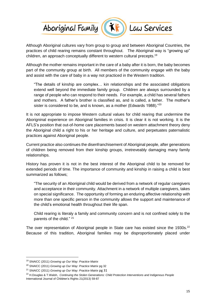



Although Aboriginal cultures vary from group to group and between Aboriginal Countries, the practices of child rearing remains constant throughout. The Aboriginal way is "growing up" children, an approach conceptually different to western cultural precepts. 19

Although the mother remains important in the care of a baby after it is born, the baby becomes part of the community group at birth. All members of the community engage with the baby and assist with the care of baby in a way not practiced in the Western tradition.

"The details of kinship are complex… kin relationships and the associated obligations extend well beyond the immediate family group. Children are always surrounded by a range of people who can respond to their needs. For example, a child has several fathers and mothers. A father's brother is classified as, and is called, a father. The mother's sister is considered to be, and is known, as a mother (Edwards 1988)."<sup>20</sup>

It is not appropriate to impose Western cultural values for child rearing that undermine the Aborigninal experience on Aboriginal families in crisis. It is clear it is not working. It is the AFLS's position that out-of-home care placements based on western attachment theory deny the Aboriginal child a right to his or her heritage and culture, and perpetuates paternalistic practices against Aboriginal people.

Current practice also continues the disenfranchisement of Aboriginal people, after generations of children being removed from their kinship groups, irretreveably damaging many family relationships.

History has proven it is not in the best interest of the Aboriginal child to be removed for extended periods of time. The importance of community and kinship in raising a child is best summarized as follows;

"The security of an Aboriginal child would be derived from a network of regular caregivers and acceptance in their community. Attachment in a network of multiple caregivers, takes on special significance. The opportunity of forming an enduring affective relationship with more than one specific person in the community allows the support and maintenance of the child's emotional health throughout their life span.

Child rearing is literaly a family and community concern and is not confined solely to the parents of the child." <sup>21</sup>

The over representation of Aboriginal people in State care has existed since the 1930s.<sup>22</sup> Because of this tradition, Aboriginal families may be disproportionately placed under

<sup>19</sup> SNAICC (2011) *Growing up Our Way: Practice Matrix*

<sup>20</sup> SNAICC (2011) *Growing up Our Way: Practice Matrix* pg 32

<sup>21</sup> SNAICC (2011) *Growing up Our Way: Practice Matrix* pg 31

<sup>22</sup> H.Douglas & T.Walsh, *Continuing the Stolen Generations: Child Protection Interventions and Indigenous People* International Journal of Children's Rights 21(2013) 59-87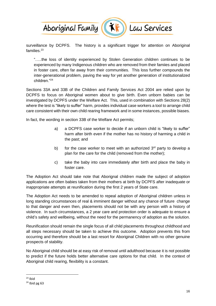

Law Services

surveillance by DCPFS. The history is a significant trigger for attention on Aboriginal families<sup>23</sup>

"…..the loss of identity experienced by Stolen Generation children continues to be experienced by many Indigenous children who are removed from their famiies and placed in foster care, often far away from their communities. This loss further compounds the inter-generational problem, paving the way for yet another generation of institutionalized children."<sup>24</sup>

Sections 33A and 33B of the Children and Family Services Act 2004 are relied upon by DCPFS to focus on Aboriginal women about to give birth. Even unborn babies can be investigated by DCPFS under the Welfare Act. This, used in combination with Sections 28(2) where the test is "likely to suffer" harm, provides individual case workers a tool to arrange child care consistent with their own child rearing framework and in some instances, possible biases.

In fact, the wording in section 33B of the Welfare Act permits;

- a) a DCPFS case worker to decide if an unborn child is "likely to suffer" harm after birth even if the mother has no history of harming a child in the past; and
- b) for the case worker to meet with an authorized  $3<sup>rd</sup>$  party to develop a plan for the care for the child (removed from the mother);
- c) take the baby into care immediately after birth and place the baby in foster care.

The Adoption Act should take note that Aborignal children made the subject of adoption applications are often babies taken from their mothers at birth by DCPFS after inadequate or inappropriate attempts at reunification during the first 2 years of State care.

The Adoption Act needs to be amended to repeal adoption of Aboriginal children unless in long standing circumstances of real & imminent danger without any chance of future change to that danger and even then, placements should not be with any person with a history of violence. In such circumstances, a 2 year care and protection order is adequate to ensure a child's safety and wellbeing, without the need for the permanency of adoption as the solution.

Reunification should remain the single focus of all child placements throughout childhood and all steps necessary should be taken to achieve this outcome. Adoption prevents this from occurring and therefore should be a last resort for Aboriginal Children with no other genuine prospects of stability.

No Aboriginal child should be at easy risk of removal until adulthood because it is not possible to predict if the future holds better alternative care options for that child. In the context of Aboriginal child rearing, flexibility is a constant.

 $23$  Ibid

 $24$  Ibid pg 63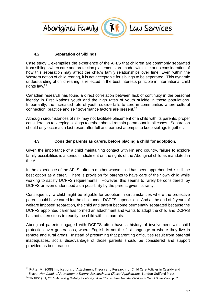

### **4.2 Separation of Siblings**

Case study 1 exempflies the experience of the AFLS that children are commonly separated from siblings when care and protection placements are made, with little or no consideration of how this separation may affect the child's family relationships over time. Even within the Western notion of child rearing, it is not acceptable for siblings to be separated. This dynamic understanding of child rearing is reflected in the best interests principle in international child rights law.<sup>25</sup>

Canadian research has found a direct correlation between lack of continuity in the personal identity in First Nations youth and the high rates of youth suicide in those populations. Importantly, the increased rate of youth suicide falls to zero in communities where cultural connection, practice and self governance factors are present.<sup>26</sup>

Although circumstances of risk may not facilitate placement of a child with its parents, proper consideration to keeping siblings together should remain paramount in all cases. Separation should only occur as a last resort after full and earnest attempts to keep siblings together.

#### **4.3 Consider parents as carers, before placing a child for adotption.**

Given the importance of a child maintaining contact with kin and country, failure to explore family possibilities is a serious indictment on the rights of the Aboriginal child as mandated in the Act.

In the experience of the AFLS, often a mother whose child has been apprehended is still the best option as a carer. There is provision for parents to have care of their own child while working to satisfy DCPFS requirements. However, this seems to rarely be considered by DCPFS or even understood as a possibility by the parent, given its rarity.

Consequently, a child might be eligable for adoption in circumstances where the protective parent could have cared for the child under DCPFS supervision. And at the end of 2 years of welfare imposed separation, the child and parent become permenatly separated because the DCPFS appointed carer has formed an attachment and wants to adopt the child and DCPFS has not taken steps to reunify the child with it's parents.

Aboriginal parents engaged with DCPFS often have a history of involvement with child protection over generations, where English is not the first language or where they live in remote and rural areas. Instead of presuming that parenting difficulties result from parental inadequaties, social disadvantage of those parents should be considered and support provided as best practice.

<sup>&</sup>lt;sup>25</sup> Rutter M (2008) Implications of Attachment Theory and Research for Child Care Policies in Cassidy and Shaver *Handbook of Attachment: Theory, Research and Clinical Applications* London Guilford Press <sup>26</sup> SNAICC (July 2016) *Achieving Stability for Aboriginal and Torres Strait Islander Children in Out-of Home Care* pg 7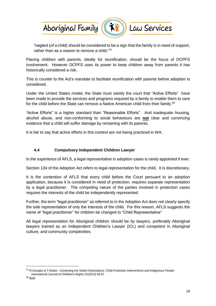

"neglect (*of a child*) should be considered to be a sign that the family is in need of support, rather than as a reason to remove a child."<sup>27</sup>

Placing children with parents, ideally for reunification, should be the focus of DCPFS involvement. However DCPFS uses its power to keep children away from parents it has historically considered a risk.

This is counter to the Act's mandate to facilitate reunification with parents before adoption is considered.

Under the United States model, the State must satisfy the court that "Active Efforts" have been made to provide the services and programs required by a family to enable them to care for the child before the State can remove a Native American child from their family.<sup>28</sup>

"Active Efforts" is a higher standard than "Reasonable Efforts". And inadequate housing, alcohol abuse, and non-conforming to social behaviours are **not** clear and convincing evidence that a child will suffer damage by remaining with its parents.

It is fair to say that active efforts in this context are not being practiced in WA.

#### **4.4 Compulsory Independent Children Lawyer**

In the experience of AFLS, a legal representative in adoption cases is rarely appointed if ever.

Section 134 of the Adoption Act refers to legal representation for the child. It is discretionary.

It is the contention of AFLS that every child before the Court persuant to an adoption application, because it is considered in need of protection, requires separate representation by a legal practitioner. The competing nature of the parties involved in protection cases requires the interests of the child be independently represented.

Further, the term "legal practitioner" as referred to in the Adoption Act does not clearly specify the sole representation of only the interests of the child. For this reason, AFLS suggests the name of "legal practitioner" for children be changed to "Child Representative"

All legal representation for Aboriginal children should be by lawyers, preferably Aboriginal lawyers trained as an Independent Children's Lawyer (ICL) and competent in Aboriginal culture, and community complexities.

<sup>27</sup> H.Douglas & T.Walsh, *Continuing the Stolen Generations: Child Protection Interventions and Indigenous People* International Journal of Children's Rights 21(2013) 59-87

 $28$  Ibid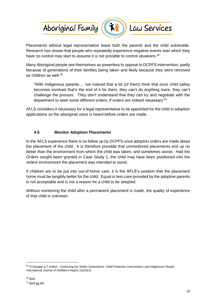

Placements without legal representation leave both the parents and the child vulnerable. Research has shown that people who repeatedly experience negative events over which they have no control may start to assume it is not possible to control situations.<sup>29</sup>

Many Aboriginal people see themselves as powerless to oppose to DCPFS intervention, partly because of generations of their families being taken and likely because they were removed as children as well.<sup>30</sup>

"With Indigenous parents…. Ive noticed that a lot (of them) think that once child safety becomes involved that's the end of it for them, they can't do anything more, they can't challenge the process. They don't understand that they can try and negotiate with the department to seek some different orders, If orders are indeed necessary"31

AFLS considers it necessary for a legal representative to be appointed for the child in adoption applications so the aboriginal voice is heard before orders are made.

#### **4.5 Monitor Adoption Placements**

In the AFLS experience there is no follow up by DCPFS once adoption orders are made about the placement of the child. It is therefore possible that unmonitored placements end up no better than the environment from which the child was taken, and sometimes worse. Had the Orders sought been granted in Case Study 1, the child may have been positioned into the violent environment the placement was intended to avoid.

If children are to be put into out-of-home care, it is the AFLS's position that the placement home must be tangibly better for the child. Equal or less care provided by the adoptive parents is not acceptable and is not a reason for a child to be adopted.

Without monitoring the child after a permanent placement is made, the quality of experience of that child is unknown.

<sup>29</sup> H.Douglas & T.Walsh, *Continuing the Stolen Generations: Child Protection Interventions and Indigenous People* International Journal of Children's Rights 21(2013)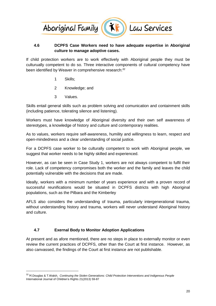

#### **4.6 DCPFS Case Workers need to have adequate expertise in Aboriginal culture to manage adoptive cases.**

If child protection workers are to work effectively with Aboriginal people they must be culturually competent to do so. Three interactive components of cultural competency have been identified by Weaver in comprehensive research:<sup>32</sup>

- 1 Skills;
- 2 Knowledge; and
- 3 Values.

Skills entail general skills such as problem solving and comunication and containment skills (including patience, tolerating silence and listening).

Workers must have knowledge of Aboriginal diversity and their own self awareness of stereotypes, a knowledge of history and culture and contemporary realities.

As to values, workers require self-awareness, humility and willingness to learn, respect and open-mindedness and a clear understanding of social justice.

For a DCPFS case worker to be culturally competent to work with Aboriginal people, we suggest that worker needs to be highly skilled and experienced.

However, as can be seen in Case Study 1, workers are not always competent to fulfil their role. Lack of competency compromises both the worker and the family and leaves the child potentially vulnerable with the decisions that are made.

Ideally, workers with a minimum number of years experience and with a proven record of successful reunifications would be situated in DCPFS districts with high Aboriginal populations, such as the Pilbara and the Kimberley

AFLS also considers the understanding of trauma, particularly intergenerational trauma, without understanding history and trauma, workers will never understand Aboriginal history and culture.

#### **4.7 Exernal Body to Monitor Adoption Applications**

 $\overline{a}$ 

At present and as afore mentioned, there are no steps in place to externally monitor or even review the current practices of DCPFS, other than the Court at first instance. However, as also canvassed, the findings of the Court at first instance are not publishable.

<sup>32</sup> H.Douglas & T.Walsh, *Continuing the Stolen Generations: Child Protection Interventions and Indigenous People* International Journal of Children's Rights 21(2013) 59-87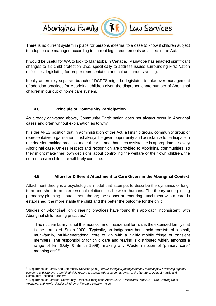

There is no current system in place for persons external to a case to know if children subject to adoption are managed according to current legal requirements as stated in the Act.

It would be useful for WA to look to Manatoba in Canada. Manatoba has enacted signfificant changes to it's child protection laws, specifically to address issues surrounding First Nation difficulties, legislating for proper representation and cultural understanding.

Ideally an entirely separate branch of DCPFS might be legislated to take over management of adoption practices for Aboriginal children given the disproportionate number of Aboriginal children in our out of home care system.

# **4.8 Principle of Community Participation**

As already canvased above, Community Participation does not always occur in Aborignal cases and often without explanation as to why.

It is the AFLS position that in administration of the Act, a kinship group, community group or representative organization must always be given opportunity and assistance to participate in the decision making process under the Act, and that such assistance is appropriate for every Aboriginal case. Unless respect and recognition are provided to Aboriginal communities, so they might make their own decisions about controlling the welfare of their own children, the current crisi in child care will likely continue.

# **4.9 Allow for Different Attachment to Care Givers in the Aboriginal Context**

Attachment theory is a psychological model that attempts to describe the dynamics of longterm and short-term interpersonal relationships between humans. The theory underpinning permancy planning is attachment theory; the sooner an enduring attachment with a carer is established, the more stable the child and the better the outcome for the child.

Studies on Aboriginal child rearing practices have found this approach inconsistent with Aboriginal child rearing practices.<sup>33</sup>

"The nuclear family is not the most common residential form; it is the extended family that is the norm (ed. Smith 2000). Typically, an Indigenous household consists of a small, multi-family, multi-generational core of kin with a highly mobile fringe of transient members. The responsibility for child care and rearing is distributed widely amongst a range of kin (Daly & Smith 1999), making any Western notion of 'primary carer' meaningless"<sup>34</sup>

<sup>33</sup> Department of Family and Community Services (2002). *Warrki jarrinjaku jintangkammanu purananjaku = Working together* everyone and listening : Aboriginal child rearing & associated research : a review of the literature. Dept. of Family and Community Services, Canberra

<sup>34</sup> Department of Families, Community Services & Indiginous Affairs (2004) *Occasional Paper 15 – The Growing Up of Aboriginal and Torris Islander Children: A literature Review.* Pg 25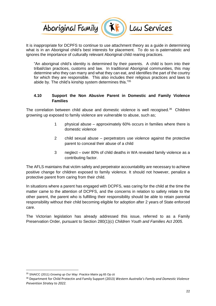

It is inappropriate for DCPFS to continue to use attachment theory as a guide in determining what is in an Aboriginal child's best interests for placement. To do so is paternatistic and ignores the importance of culturally relevant Aboriginal child rearing practices.

"An aboriginal child's identity is determined by their parents. A child is born into their tribal/clan practices, customs and law. In traditional Aboriginal communities, this may determine who they can marry and what they can eat, and identifies the part of the courtry for which they are responsible. This also includes their religious practices and laws to abide by. The child's kinship system determines this."<sup>35</sup>

#### **4.10 Support the Non Abusive Parent in Domestic and Family Violence Families**

The correlation between child abuse and domestic violence is well recogised.<sup>36</sup> Children growning up exposed to family violence are vulnerable to abuse, such as;

- 1 physical abuse approximately 60% occurs in families where there is domestic violence
- 2 child sexual abuse perpetrators use violence against the protective parent to conceal their abuse of a child
- 3 neglect over 80% of child deaths in WA revealed family violence as a contributing factor.

The AFLS maintains that victim safety and perpetrator accountability are necessary to achieve positive change for children exposed to family violence. It should not however, penalize a protective parent from caring from their child.

In situations where a parent has engaged with DCPFS, was caring for the child at the time the matter came to the attention of DCPFS, and the concerns in relation to safety relate to the other parent, the parent who is fulfilling their responsibility should be able to retain parental responsibility without their child becoming eligible for adoption after 2 years of State enforced care.

The Victorian legislation has already addressed this issue, referred to as a Family Preservation Order, pursuant to Section 280(1)(c) *Children Youth and Families Act 2005.*

<sup>35</sup> SNAICC (2011) *Growing up Our Way: Practice Matrix* pg 65 Op cit

<sup>36</sup> Department for Child Protectin and Family Support (2013) *Western Australia's Family and Domestic Violence Prevention Stratey to 2022.*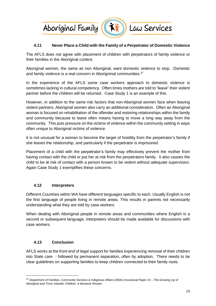

### **4.11 Never Place a Child with the Family of a Perpetrator of Domestic Violence**

The AFLS does not agree with placement of children with perpetrators of family violence or their families in the Aboriginal context.

Aboriginal women, the same as non Aboriginal, want domestic violence to stop. Domestic and family violence is a real concern in Aborigninal communities.<sup>37</sup>

In the experience of the AFLS some case workers approach to domestic violence is sometimes lacking in cultural competency. Often times mothers are told to "leave" their violent partner before the children will be returned. Case Study 1 is an example of this.

However, in addition to the same risk factors that non-Aboriginal women face when leaving violent partners, Aboriginal women also carry an additional consideration. Often an Aboriginal woman is focused on rehabilitation of the offender and restoring relationships within the family and community because to leave often means having to move a long way away from the community. This puts pressure on the victims of violence within the community setting in ways often unique to Aboriginal victims of violence.

It is not unusual for a woman to become the target of hostility from the perpetrator's family if she leaves the relationship, and particularly if the perpetrator is imprisoned.

Placement of a child with the perpetrator's family may effectively prevent the mother from having contact with the child or put her at risk from the perpetrators family. It also causes the child to be at risk of contact with a person known to be violent without adequate supervision. Again Case Study 1 exemplifies these concerns.

#### **4.12 Interpreters**

Different Countries within WA have different languages specific to each. Usually English is not the first language of people living in remote areas. This results in parents not necessarily understanding what they are told by case workers.

When dealing with Aboriginal people in remote areas and communities where English is a second or subsequent language, interpreters should be made available for discussions with case workers.

#### **4.13 Conclusion**

 $\overline{a}$ 

AFLS works at the front end of legal support for families experiencing removal of their children into State care - followed by permanent separation, often by adoption. There needs to be clear guidelines on supporting families to keep children connected to their family roots.

<sup>37</sup> Department of Families, Community Services & Indiginous Affairs (2004) *Occasional Paper 15 – The Growing Up of Aboriginal and Torris Islander Children: A literature Review.*